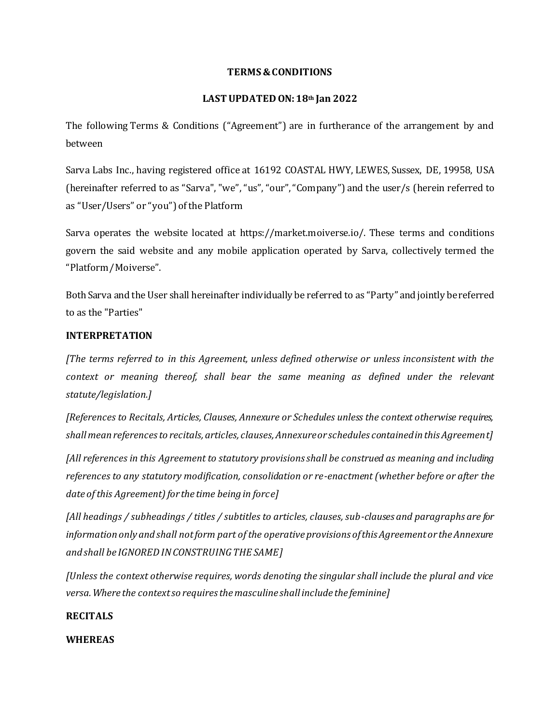## **TERMS & CONDITIONS**

# **LAST UPDATED ON:18th Jan 2022**

The following Terms & Conditions ("Agreement") are in furtherance of the arrangement by and between

Sarva Labs Inc., having registered office at 16192 COASTAL HWY, LEWES, Sussex, DE, 19958, USA (hereinafter referred to as "Sarva", "we", "us", "our", "Company") and the user/s (herein referred to as "User/Users" or "you") of the Platform

Sarva operates the website located at https://market.moiverse.io/. These terms and conditions govern the said website and any mobile application operated by Sarva, collectively termed the "Platform/ Moiverse".

Both Sarva and the User shall hereinafter individually be referred to as "Party" and jointly be referred to as the "Parties"

# **INTERPRETATION**

*[The terms referred to in this Agreement, unless defined otherwise or unless inconsistent with the*  context or meaning thereof, shall bear the same meaning as defined under the relevant *statute/legislation.]*

*[References to Recitals, Articles, Clauses, Annexure or Schedules unless the context otherwise requires, shall mean references to recitals, articles, clauses, Annexure or schedules contained in this Agreement]*

*[All references in this Agreement to statutory provisions shall be construed as meaning and including references to any statutory modification, consolidation or re-enactment (whether before or after the date of this Agreement) for the time being in force]* 

*[All headings / subheadings / titles / subtitles to articles, clauses, sub-clauses and paragraphs are for information only and shall not form part of the operative provisions of this Agreement or the Annexure and shall be IGNORED IN CONSTRUING THE SAME]*

*[Unless the context otherwise requires, words denoting the singular shall include the plural and vice versa. Where the context so requires the masculine shall include the feminine]*

# **RECITALS**

**WHEREAS**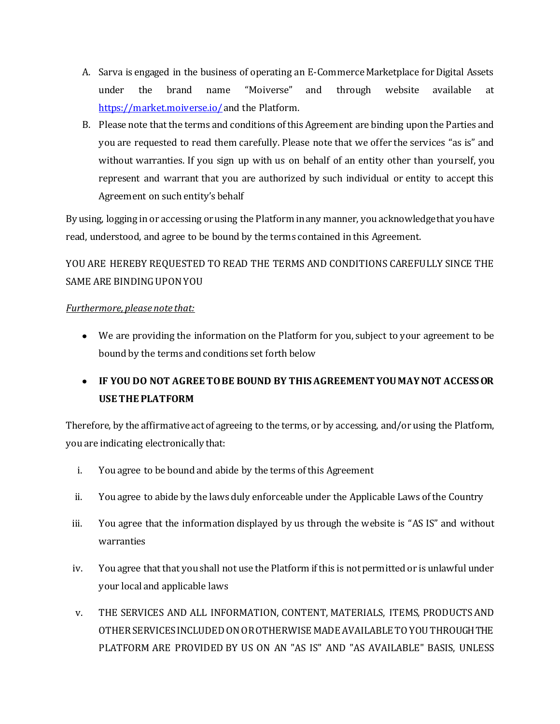- A. Sarva is engaged in the business of operating an E-Commerce Marketplace for Digital Assets under the brand name "Moiverse" and through website available at [https://market.moiverse.io/](https://qamarket.moiverse.io/) and the Platform.
- B. Please note that the terms and conditions of this Agreement are binding upon the Parties and you are requested to read them carefully. Please note that we offer the services "as is" and without warranties. If you sign up with us on behalf of an entity other than yourself, you represent and warrant that you are authorized by such individual or entity to accept this Agreement on such entity's behalf

By using, logging in or accessing or using the Platform in any manner, you acknowledge that you have read, understood, and agree to be bound by the terms contained in this Agreement.

YOU ARE HEREBY REQUESTED TO READ THE TERMS AND CONDITIONS CAREFULLY SINCE THE SAME ARE BINDING UPON YOU

# *Furthermore, please note that:*

We are providing the information on the Platform for you, subject to your agreement to be bound by the terms and conditions set forth below

# **IF YOU DO NOT AGREE TO BE BOUND BY THIS AGREEMENT YOU MAY NOT ACCESS OR USE THE PLATFORM**

Therefore, by the affirmative act of agreeing to the terms, or by accessing, and/or using the Platform, you are indicating electronically that:

- i. You agree to be bound and abide by the terms of this Agreement
- ii. You agree to abide by the laws duly enforceable under the Applicable Laws of the Country
- iii. You agree that the information displayed by us through the website is "AS IS" and without warranties
- iv. You agree that that you shall not use the Platform if this is not permitted or is unlawful under your local and applicable laws
- v. THE SERVICES AND ALL INFORMATION, CONTENT, MATERIALS, ITEMS, PRODUCTS AND OTHER SERVICES INCLUDED ON OR OTHERWISE MADE AVAILABLE TO YOU THROUGH THE PLATFORM ARE PROVIDED BY US ON AN "AS IS" AND "AS AVAILABLE" BASIS, UNLESS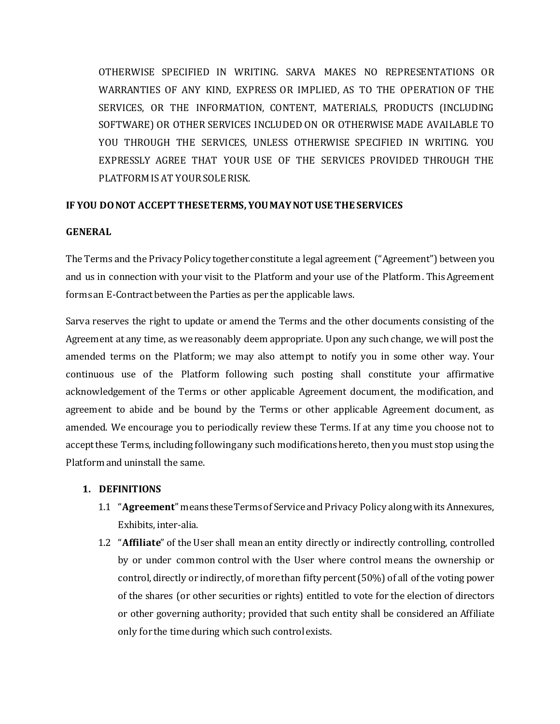OTHERWISE SPECIFIED IN WRITING. SARVA MAKES NO REPRESENTATIONS OR WARRANTIES OF ANY KIND, EXPRESS OR IMPLIED, AS TO THE OPERATION OF THE SERVICES, OR THE INFORMATION, CONTENT, MATERIALS, PRODUCTS (INCLUDING SOFTWARE) OR OTHER SERVICES INCLUDED ON OR OTHERWISE MADE AVAILABLE TO YOU THROUGH THE SERVICES, UNLESS OTHERWISE SPECIFIED IN WRITING. YOU EXPRESSLY AGREE THAT YOUR USE OF THE SERVICES PROVIDED THROUGH THE PLATFORM IS AT YOUR SOLE RISK.

# **IF YOU DO NOT ACCEPT THESE TERMS, YOU MAY NOT USE THE SERVICES**

## **GENERAL**

The Terms and the Privacy Policy together constitute a legal agreement ("Agreement") between you and us in connection with your visit to the Platform and your use of the Platform. This Agreement forms an E-Contract between the Parties as per the applicable laws.

Sarva reserves the right to update or amend the Terms and the other documents consisting of the Agreement at any time, as we reasonably deem appropriate. Upon any such change, we will post the amended terms on the Platform; we may also attempt to notify you in some other way. Your continuous use of the Platform following such posting shall constitute your affirmative acknowledgement of the Terms or other applicable Agreement document, the modification, and agreement to abide and be bound by the Terms or other applicable Agreement document, as amended. We encourage you to periodically review these Terms. If at any time you choose not to accept these Terms, including following any such modifications hereto, then you must stop using the Platform and uninstall the same.

# **1. DEFINITIONS**

- 1.1 "**Agreement**" means these Terms of Service and Privacy Policy along with its Annexures, Exhibits, inter-alia.
- 1.2 "**Affiliate**" of the User shall mean an entity directly or indirectly controlling, controlled by or under common control with the User where control means the ownership or control, directly or indirectly, of more than fifty percent (50%) of all of the voting power of the shares (or other securities or rights) entitled to vote for the election of directors or other governing authority; provided that such entity shall be considered an Affiliate only for the time during which such control exists.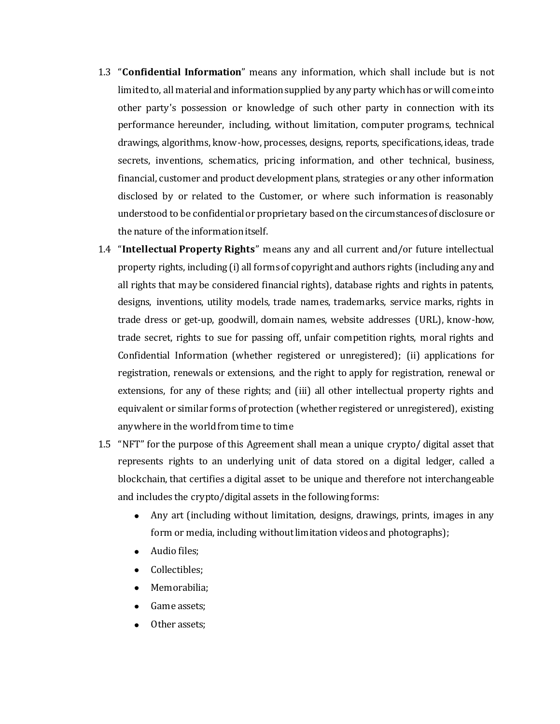- 1.3 "**Confidential Information**" means any information, which shall include but is not limited to, all material and information supplied by any party which has or will come into other party's possession or knowledge of such other party in connection with its performance hereunder, including, without limitation, computer programs, technical drawings, algorithms, know-how, processes, designs, reports, specifications, ideas, trade secrets, inventions, schematics, pricing information, and other technical, business, financial, customer and product development plans, strategies or any other information disclosed by or related to the Customer, or where such information is reasonably understood to be confidential or proprietary based on the circumstances of disclosure or the nature of the information itself.
- 1.4 "**Intellectual Property Rights**" means any and all current and/or future intellectual property rights, including (i) all forms of copyright and authors rights (including any and all rights that may be considered financial rights), database rights and rights in patents, designs, inventions, utility models, trade names, trademarks, service marks, rights in trade dress or get-up, goodwill, domain names, website addresses (URL), know-how, trade secret, rights to sue for passing off, unfair competition rights, moral rights and Confidential Information (whether registered or unregistered); (ii) applications for registration, renewals or extensions, and the right to apply for registration, renewal or extensions, for any of these rights; and (iii) all other intellectual property rights and equivalent or similar forms of protection (whether registered or unregistered), existing anywhere in the world from time to time
- 1.5 "NFT" for the purpose of this Agreement shall mean a unique crypto/ digital asset that represents rights to an underlying unit of data stored on a digital ledger, called a blockchain, that certifies a digital asset to be unique and therefore not interchangeable and includes the crypto/digital assets in the following forms:
	- Any art (including without limitation, designs, drawings, prints, images in any form or media, including without limitation videos and photographs);
	- Audio files;
	- Collectibles;
	- Memorabilia;
	- Game assets;
	- Other assets;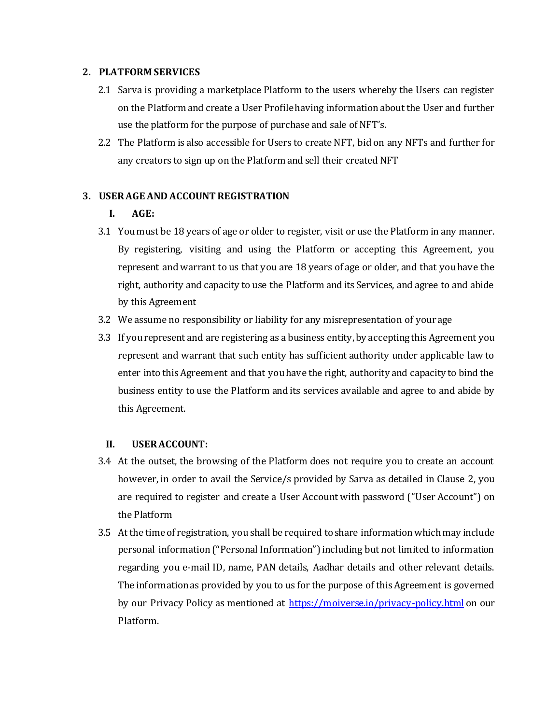## **2. PLATFORM SERVICES**

- 2.1 Sarva is providing a marketplace Platform to the users whereby the Users can register on the Platform and create a User Profile having information about the User and further use the platform for the purpose of purchase and sale of NFT's.
- 2.2 The Platform is also accessible for Users to create NFT, bid on any NFTs and further for any creators to sign up on the Platform and sell their created NFT

## **3. USER AGE AND ACCOUNT REGISTRATION**

## **I. AGE:**

- 3.1 You must be 18 years of age or older to register, visit or use the Platform in any manner. By registering, visiting and using the Platform or accepting this Agreement, you represent and warrant to us that you are 18 years of age or older, and that you have the right, authority and capacity to use the Platform and its Services, and agree to and abide by this Agreement
- 3.2 We assume no responsibility or liability for any misrepresentation of your age
- 3.3 If you represent and are registering as a business entity, by accepting this Agreement you represent and warrant that such entity has sufficient authority under applicable law to enter into this Agreement and that you have the right, authority and capacity to bind the business entity to use the Platform and its services available and agree to and abide by this Agreement.

## **II. USER ACCOUNT:**

- 3.4 At the outset, the browsing of the Platform does not require you to create an account however, in order to avail the Service/s provided by Sarva as detailed in Clause 2, you are required to register and create a User Account with password ("User Account") on the Platform
- 3.5 At the time of registration, you shall be required to share information which may include personal information ("Personal Information") including but not limited to information regarding you e-mail ID, name, PAN details, Aadhar details and other relevant details. The information as provided by you to us for the purpose of this Agreement is governed by our Privacy Policy as mentioned at<https://moiverse.io/privacy-policy.html> on our Platform.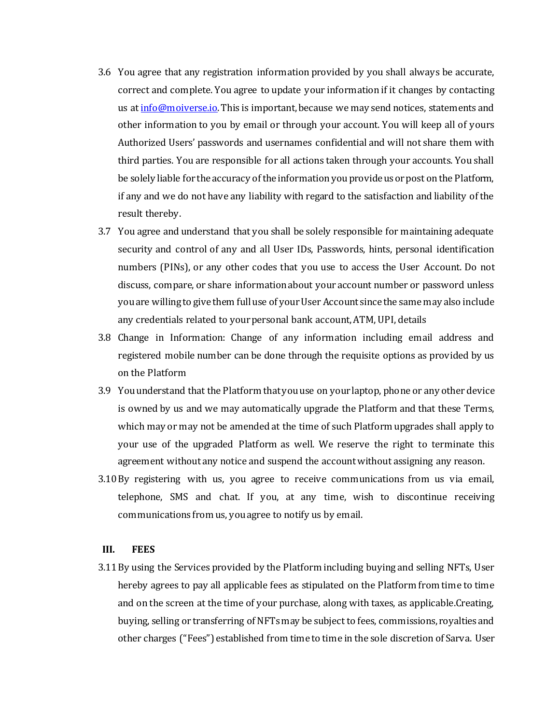- 3.6 You agree that any registration information provided by you shall always be accurate, correct and complete. You agree to update your information if it changes by contacting us a[t info@moiverse.io](mailto:info@sarva.ai). This is important, because we may send notices, statements and other information to you by email or through your account. You will keep all of yours Authorized Users' passwords and usernames confidential and will not share them with third parties. You are responsible for all actions taken through your accounts. You shall be solely liable for the accuracy of the information you provide us or post on the Platform, if any and we do not have any liability with regard to the satisfaction and liability of the result thereby.
- 3.7 You agree and understand that you shall be solely responsible for maintaining adequate security and control of any and all User IDs, Passwords, hints, personal identification numbers (PINs), or any other codes that you use to access the User Account. Do not discuss, compare, or share information about your account number or password unless you are willing to give them full use of your User Account since the same may also include any credentials related to your personal bank account, ATM, UPI, details
- 3.8 Change in Information: Change of any information including email address and registered mobile number can be done through the requisite options as provided by us on the Platform
- 3.9 You understand that the Platform that you use on your laptop, phone or any other device is owned by us and we may automatically upgrade the Platform and that these Terms, which may or may not be amended at the time of such Platform upgrades shall apply to your use of the upgraded Platform as well. We reserve the right to terminate this agreement without any notice and suspend the account without assigning any reason.
- 3.10By registering with us, you agree to receive communications from us via email, telephone, SMS and chat. If you, at any time, wish to discontinue receiving communications from us, you agree to notify us by email.

#### **III. FEES**

3.11By using the Services provided by the Platform including buying and selling NFTs, User hereby agrees to pay all applicable fees as stipulated on the Platform from time to time and on the screen at the time of your purchase, along with taxes, as applicable.Creating, buying, selling or transferring of NFTs may be subject to fees, commissions, royalties and other charges ("Fees") established from time to time in the sole discretion of Sarva. User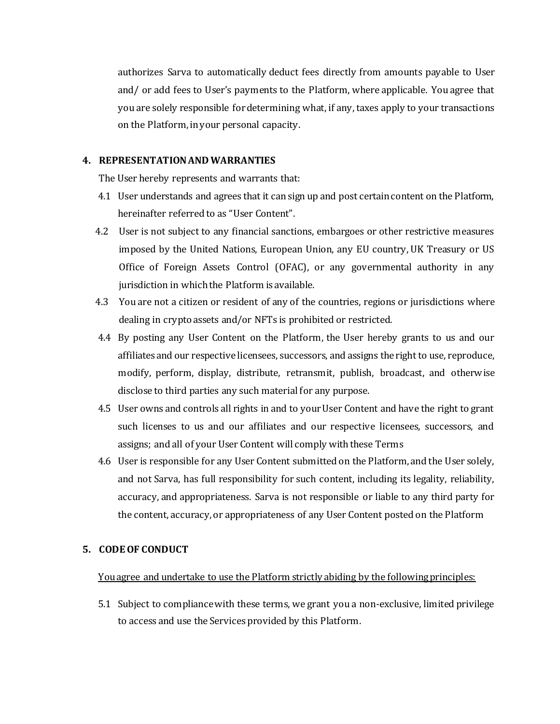authorizes Sarva to automatically deduct fees directly from amounts payable to User and/ or add fees to User's payments to the Platform, where applicable. You agree that you are solely responsible for determining what, if any, taxes apply to your transactions on the Platform, in your personal capacity.

## **4. REPRESENTATION AND WARRANTIES**

The User hereby represents and warrants that:

- 4.1 User understands and agrees that it can sign up and post certain content on the Platform, hereinafter referred to as "User Content".
- 4.2 User is not subject to any financial sanctions, embargoes or other restrictive measures imposed by the United Nations, European Union, any EU country, UK Treasury or US Office of Foreign Assets Control (OFAC), or any governmental authority in any jurisdiction in which the Platform is available.
- 4.3 You are not a citizen or resident of any of the countries, regions or jurisdictions where dealing in crypto assets and/or NFTs is prohibited or restricted.
- 4.4 By posting any User Content on the Platform, the User hereby grants to us and our affiliates and our respective licensees, successors, and assigns the right to use, reproduce, modify, perform, display, distribute, retransmit, publish, broadcast, and otherwise disclose to third parties any such material for any purpose.
- 4.5 User owns and controls all rights in and to your User Content and have the right to grant such licenses to us and our affiliates and our respective licensees, successors, and assigns; and all of your User Content will comply with these Terms
- 4.6 User is responsible for any User Content submitted on the Platform, and the User solely, and not Sarva, has full responsibility for such content, including its legality, reliability, accuracy, and appropriateness. Sarva is not responsible or liable to any third party for the content, accuracy, or appropriateness of any User Content posted on the Platform

## **5. CODE OF CONDUCT**

#### You agree and undertake to use the Platform strictly abiding by the following principles:

5.1 Subject to compliance with these terms, we grant you a non-exclusive, limited privilege to access and use the Services provided by this Platform.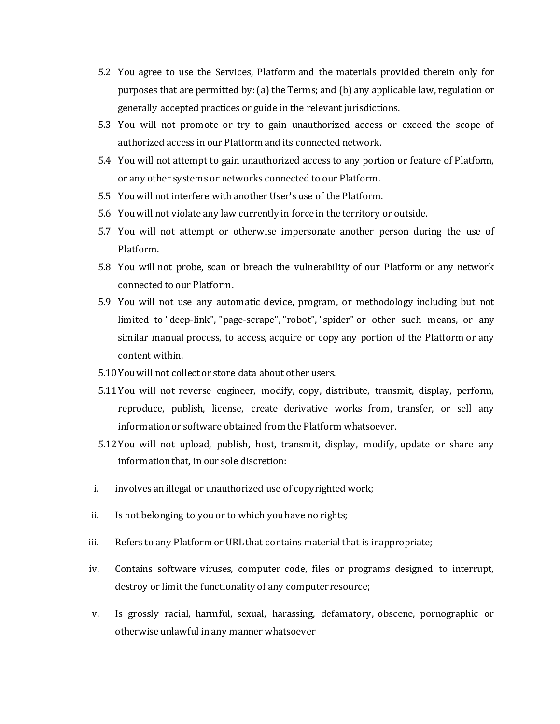- 5.2 You agree to use the Services, Platform and the materials provided therein only for purposes that are permitted by: (a) the Terms; and (b) any applicable law, regulation or generally accepted practices or guide in the relevant jurisdictions.
- 5.3 You will not promote or try to gain unauthorized access or exceed the scope of authorized access in our Platform and its connected network.
- 5.4 You will not attempt to gain unauthorized access to any portion or feature of Platform, or any other systems or networks connected to our Platform.
- 5.5 You will not interfere with another User's use of the Platform.
- 5.6 You will not violate any law currently in force in the territory or outside.
- 5.7 You will not attempt or otherwise impersonate another person during the use of Platform.
- 5.8 You will not probe, scan or breach the vulnerability of our Platform or any network connected to our Platform.
- 5.9 You will not use any automatic device, program, or methodology including but not limited to "deep-link", "page-scrape", "robot", "spider" or other such means, or any similar manual process, to access, acquire or copy any portion of the Platform or any content within.
- 5.10You will not collect or store data about other users.
- 5.11You will not reverse engineer, modify, copy, distribute, transmit, display, perform, reproduce, publish, license, create derivative works from, transfer, or sell any information or software obtained from the Platform whatsoever.
- 5.12You will not upload, publish, host, transmit, display, modify, update or share any information that, in our sole discretion:
- i. involves an illegal or unauthorized use of copyrighted work;
- ii. Is not belonging to you or to which you have no rights;
- iii. Refers to any Platform or URL that contains material that is inappropriate;
- iv. Contains software viruses, computer code, files or programs designed to interrupt, destroy or limit the functionality of any computer resource;
- v. Is grossly racial, harmful, sexual, harassing, defamatory, obscene, pornographic or otherwise unlawful in any manner whatsoever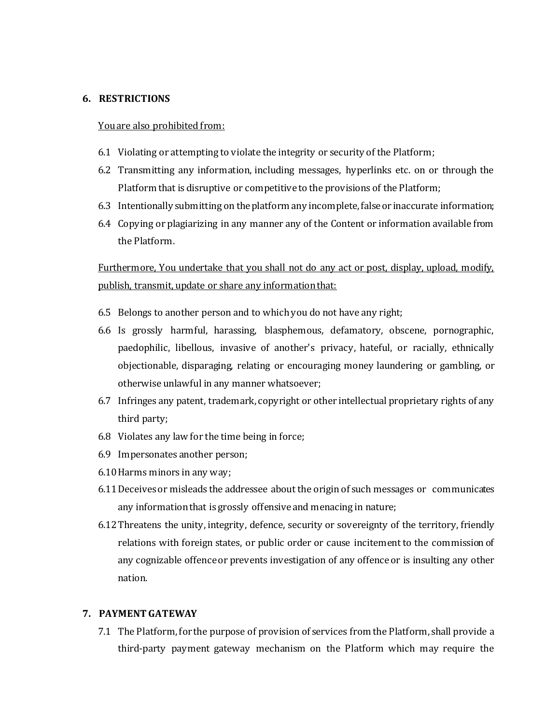## **6. RESTRICTIONS**

#### You are also prohibited from:

- 6.1 Violating or attempting to violate the integrity or security of the Platform;
- 6.2 Transmitting any information, including messages, hyperlinks etc. on or through the Platform that is disruptive or competitive to the provisions of the Platform;
- 6.3 Intentionally submitting on the platform any incomplete, false or inaccurate information;
- 6.4 Copying or plagiarizing in any manner any of the Content or information available from the Platform.

Furthermore, You undertake that you shall not do any act or post, display, upload, modify, publish, transmit, update or share any information that:

- 6.5 Belongs to another person and to which you do not have any right;
- 6.6 Is grossly harmful, harassing, blasphemous, defamatory, obscene, pornographic, paedophilic, libellous, invasive of another's privacy, hateful, or racially, ethnically objectionable, disparaging, relating or encouraging money laundering or gambling, or otherwise unlawful in any manner whatsoever;
- 6.7 Infringes any patent, trademark, copyright or other intellectual proprietary rights of any third party;
- 6.8 Violates any law for the time being in force;
- 6.9 Impersonates another person;
- 6.10Harms minors in any way;
- 6.11Deceives or misleads the addressee about the origin of such messages or communicates any information that is grossly offensive and menacing in nature;
- 6.12Threatens the unity, integrity, defence, security or sovereignty of the territory, friendly relations with foreign states, or public order or cause incitement to the commission of any cognizable offence or prevents investigation of any offence or is insulting any other nation.

## **7. PAYMENT GATEWAY**

7.1 The Platform, for the purpose of provision of services from the Platform, shall provide a third-party payment gateway mechanism on the Platform which may require the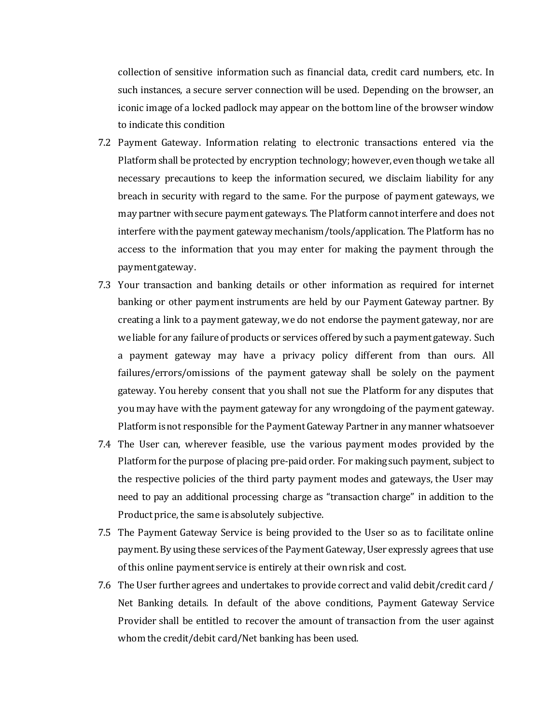collection of sensitive information such as financial data, credit card numbers, etc. In such instances, a secure server connection will be used. Depending on the browser, an iconic image of a locked padlock may appear on the bottom line of the browser window to indicate this condition

- 7.2 Payment Gateway. Information relating to electronic transactions entered via the Platform shall be protected by encryption technology; however, even though we take all necessary precautions to keep the information secured, we disclaim liability for any breach in security with regard to the same. For the purpose of payment gateways, we may partner with secure payment gateways. The Platform cannot interfere and does not interfere with the payment gateway mechanism/tools/application. The Platform has no access to the information that you may enter for making the payment through the payment gateway.
- 7.3 Your transaction and banking details or other information as required for internet banking or other payment instruments are held by our Payment Gateway partner. By creating a link to a payment gateway, we do not endorse the payment gateway, nor are we liable for any failure of products or services offered by such a payment gateway. Such a payment gateway may have a privacy policy different from than ours. All failures/errors/omissions of the payment gateway shall be solely on the payment gateway. You hereby consent that you shall not sue the Platform for any disputes that you may have with the payment gateway for any wrongdoing of the payment gateway. Platform is not responsible for the Payment Gateway Partner in any manner whatsoever
- 7.4 The User can, wherever feasible, use the various payment modes provided by the Platform for the purpose of placing pre-paid order. For making such payment, subject to the respective policies of the third party payment modes and gateways, the User may need to pay an additional processing charge as "transaction charge" in addition to the Product price, the same is absolutely subjective.
- 7.5 The Payment Gateway Service is being provided to the User so as to facilitate online payment. By using these services of the Payment Gateway, User expressly agrees that use of this online payment service is entirely at their own risk and cost.
- 7.6 The User further agrees and undertakes to provide correct and valid debit/credit card / Net Banking details. In default of the above conditions, Payment Gateway Service Provider shall be entitled to recover the amount of transaction from the user against whom the credit/debit card/Net banking has been used.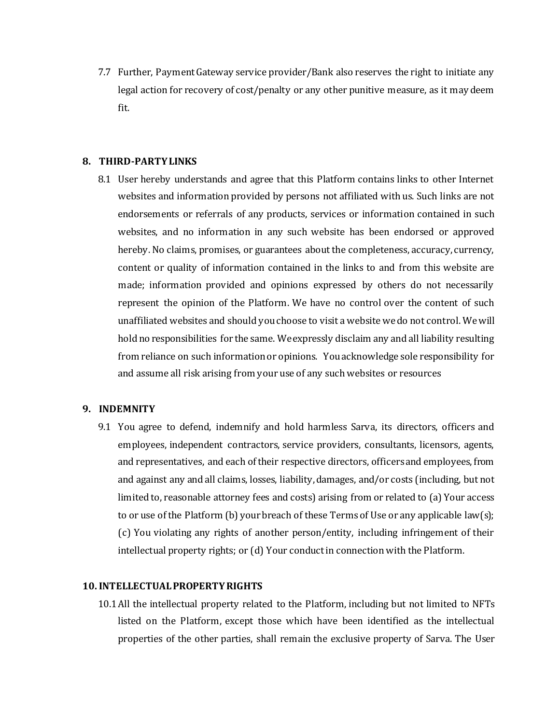7.7 Further, Payment Gateway service provider/Bank also reserves the right to initiate any legal action for recovery of cost/penalty or any other punitive measure, as it may deem fit.

## **8. THIRD-PARTY LINKS**

8.1 User hereby understands and agree that this Platform contains links to other Internet websites and information provided by persons not affiliated with us. Such links are not endorsements or referrals of any products, services or information contained in such websites, and no information in any such website has been endorsed or approved hereby. No claims, promises, or guarantees about the completeness, accuracy, currency, content or quality of information contained in the links to and from this website are made; information provided and opinions expressed by others do not necessarily represent the opinion of the Platform. We have no control over the content of such unaffiliated websites and should you choose to visit a website we do not control. We will hold no responsibilities for the same. We expressly disclaim any and all liability resulting from reliance on such information or opinions. You acknowledge sole responsibility for and assume all risk arising from your use of any such websites or resources

## **9. INDEMNITY**

9.1 You agree to defend, indemnify and hold harmless Sarva, its directors, officers and employees, independent contractors, service providers, consultants, licensors, agents, and representatives, and each of their respective directors, officers and employees, from and against any and all claims, losses, liability, damages, and/or costs (including, but not limited to, reasonable attorney fees and costs) arising from or related to (a) Your access to or use of the Platform (b) your breach of these Terms of Use or any applicable law(s); (c) You violating any rights of another person/entity, including infringement of their intellectual property rights; or (d) Your conduct in connection with the Platform.

## **10.INTELLECTUAL PROPERTY RIGHTS**

10.1All the intellectual property related to the Platform, including but not limited to NFTs listed on the Platform, except those which have been identified as the intellectual properties of the other parties, shall remain the exclusive property of Sarva. The User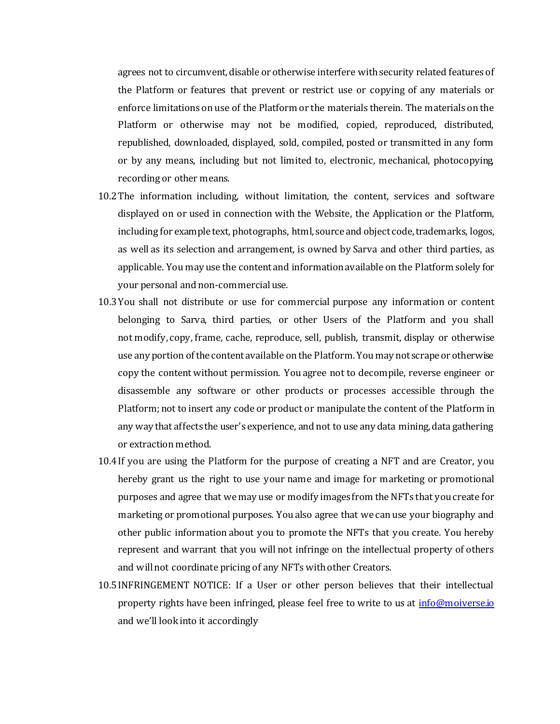agrees not to circumvent, disable or otherwise interfere with security related features of the Platform or features that prevent or restrict use or copying of any materials or enforce limitations on use of the Platform or the materials therein. The materials on the Platform or otherwise may not be modified, copied, reproduced, distributed, republished, downloaded, displayed, sold, compiled, posted or transmitted in any form or by any means, including but not limited to, electronic, mechanical, photocopying, recording or other means.

- 10.2The information including, without limitation, the content, services and software displayed on or used in connection with the Website, the Application or the Platform, including for example text, photographs, html, source and object code, trademarks, logos, as well as its selection and arrangement, is owned by Sarva and other third parties, as applicable. You may use the content and information available on the Platform solely for your personal and non-commercial use.
- 10.3You shall not distribute or use for commercial purpose any information or content belonging to Sarva, third parties, or other Users of the Platform and you shall not modify, copy, frame, cache, reproduce, sell, publish, transmit, display or otherwise use any portion of the content available on the Platform. You may not scrape or otherwise copy the content without permission. You agree not to decompile, reverse engineer or disassemble any software or other products or processes accessible through the Platform; not to insert any code or product or manipulate the content of the Platform in any way that affects the user's experience, and not to use any data mining, data gathering or extraction method.
- 10.4If you are using the Platform for the purpose of creating a NFT and are Creator, you hereby grant us the right to use your name and image for marketing or promotional purposes and agree that we may use or modify images from the NFTs that you create for marketing or promotional purposes. You also agree that we can use your biography and other public information about you to promote the NFTs that you create. You hereby represent and warrant that you will not infringe on the intellectual property of others and will not coordinate pricing of any NFTs with other Creators.
- 10.5INFRINGEMENT NOTICE: If a User or other person believes that their intellectual property rights have been infringed, please feel free to write to us at *[info@moiverse.io](mailto:info@moiverse.io)* and we'll look into it accordingly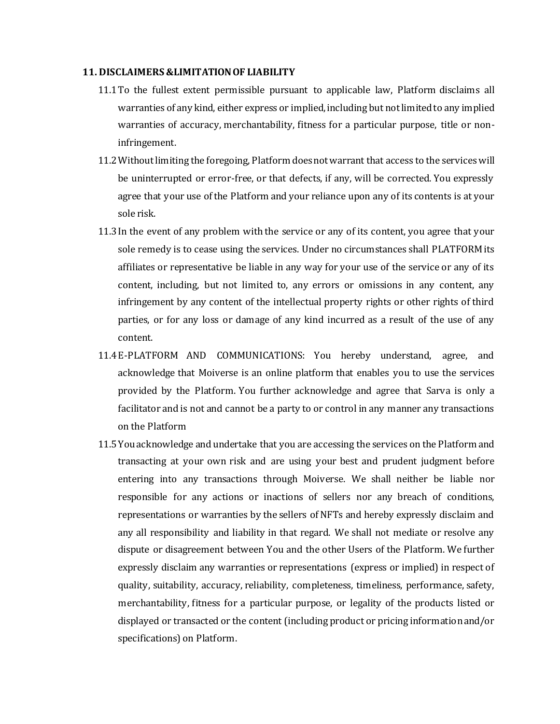#### **11. DISCLAIMERS &LIMITATION OF LIABILITY**

- 11.1To the fullest extent permissible pursuant to applicable law, Platform disclaims all warranties of any kind, either express or implied, including but not limited to any implied warranties of accuracy, merchantability, fitness for a particular purpose, title or noninfringement.
- 11.2Without limiting the foregoing, Platform does not warrant that access to the serviceswill be uninterrupted or error-free, or that defects, if any, will be corrected. You expressly agree that your use of the Platform and your reliance upon any of its contents is at your sole risk.
- 11.3In the event of any problem with the service or any of its content, you agree that your sole remedy is to cease using the services. Under no circumstances shall PLATFORMits affiliates or representative be liable in any way for your use of the service or any of its content, including, but not limited to, any errors or omissions in any content, any infringement by any content of the intellectual property rights or other rights of third parties, or for any loss or damage of any kind incurred as a result of the use of any content.
- 11.4E-PLATFORM AND COMMUNICATIONS: You hereby understand, agree, and acknowledge that Moiverse is an online platform that enables you to use the services provided by the Platform. You further acknowledge and agree that Sarva is only a facilitator and is not and cannot be a party to or control in any manner any transactions on the Platform
- 11.5You acknowledge and undertake that you are accessing the services on the Platform and transacting at your own risk and are using your best and prudent judgment before entering into any transactions through Moiverse. We shall neither be liable nor responsible for any actions or inactions of sellers nor any breach of conditions, representations or warranties by the sellers of NFTs and hereby expressly disclaim and any all responsibility and liability in that regard. We shall not mediate or resolve any dispute or disagreement between You and the other Users of the Platform. We further expressly disclaim any warranties or representations (express or implied) in respect of quality, suitability, accuracy, reliability, completeness, timeliness, performance, safety, merchantability, fitness for a particular purpose, or legality of the products listed or displayed or transacted or the content (including product or pricing information and/or specifications) on Platform.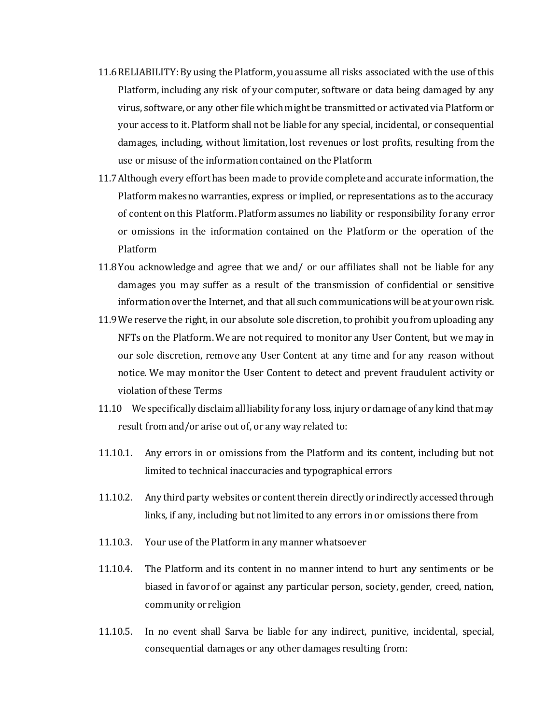- 11.6RELIABILITY: By using the Platform, you assume all risks associated with the use of this Platform, including any risk of your computer, software or data being damaged by any virus, software, or any other file which might be transmitted or activated via Platform or your access to it. Platform shall not be liable for any special, incidental, or consequential damages, including, without limitation, lost revenues or lost profits, resulting from the use or misuse of the information contained on the Platform
- 11.7Although every effort has been made to provide complete and accurate information, the Platform makes no warranties, express or implied, or representations as to the accuracy of content on this Platform. Platform assumes no liability or responsibility for any error or omissions in the information contained on the Platform or the operation of the Platform
- 11.8You acknowledge and agree that we and/ or our affiliates shall not be liable for any damages you may suffer as a result of the transmission of confidential or sensitive information over the Internet, and that all such communications will be at your own risk.
- 11.9We reserve the right, in our absolute sole discretion, to prohibit you from uploading any NFTs on the Platform. We are not required to monitor any User Content, but we may in our sole discretion, remove any User Content at any time and for any reason without notice. We may monitor the User Content to detect and prevent fraudulent activity or violation of these Terms
- 11.10 We specifically disclaim all liability for any loss, injury or damage of any kind that may result from and/or arise out of, or any way related to:
- 11.10.1. Any errors in or omissions from the Platform and its content, including but not limited to technical inaccuracies and typographical errors
- 11.10.2. Any third party websites or content therein directly or indirectly accessed through links, if any, including but not limited to any errors in or omissions there from
- 11.10.3. Your use of the Platform in any manner whatsoever
- 11.10.4. The Platform and its content in no manner intend to hurt any sentiments or be biased in favor of or against any particular person, society, gender, creed, nation, community or religion
- 11.10.5. In no event shall Sarva be liable for any indirect, punitive, incidental, special, consequential damages or any other damages resulting from: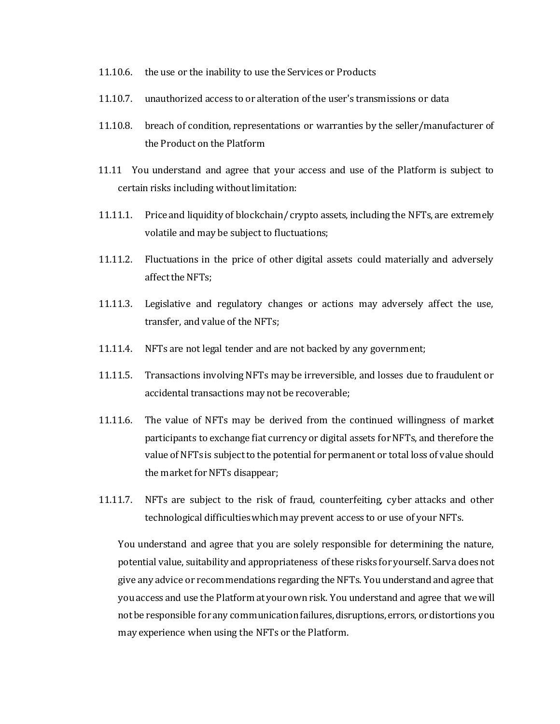- 11.10.6. the use or the inability to use the Services or Products
- 11.10.7. unauthorized access to or alteration of the user's transmissions or data
- 11.10.8. breach of condition, representations or warranties by the seller/manufacturer of the Product on the Platform
- 11.11 You understand and agree that your access and use of the Platform is subject to certain risks including without limitation:
- 11.11.1. Price and liquidity of blockchain/ crypto assets, including the NFTs, are extremely volatile and may be subject to fluctuations;
- 11.11.2. Fluctuations in the price of other digital assets could materially and adversely affect the NFTs;
- 11.11.3. Legislative and regulatory changes or actions may adversely affect the use, transfer, and value of the NFTs;
- 11.11.4. NFTs are not legal tender and are not backed by any government;
- 11.11.5. Transactions involving NFTs may be irreversible, and losses due to fraudulent or accidental transactions may not be recoverable;
- 11.11.6. The value of NFTs may be derived from the continued willingness of market participants to exchange fiat currency or digital assets for NFTs, and therefore the value of NFTs is subject to the potential for permanent or total loss of value should the market for NFTs disappear;
- 11.11.7. NFTs are subject to the risk of fraud, counterfeiting, cyber attacks and other technological difficulties which may prevent access to or use of your NFTs.

You understand and agree that you are solely responsible for determining the nature, potential value, suitability and appropriateness of these risks for yourself. Sarva does not give any advice or recommendations regarding the NFTs. You understand and agree that you access and use the Platform at your own risk. You understand and agree that we will not be responsible for any communication failures, disruptions, errors, or distortions you may experience when using the NFTs or the Platform.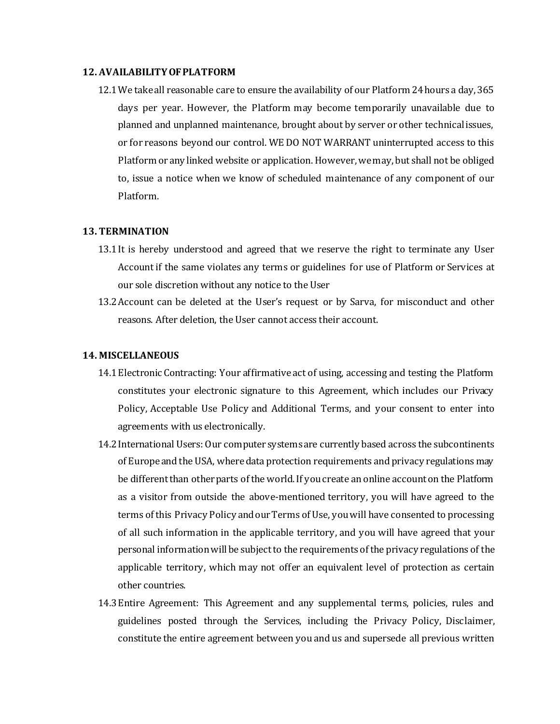#### **12. AVAILABILITY OF PLATFORM**

12.1We take all reasonable care to ensure the availability of our Platform 24 hours a day, 365 days per year. However, the Platform may become temporarily unavailable due to planned and unplanned maintenance, brought about by server or other technical issues, or for reasons beyond our control. WE DO NOT WARRANT uninterrupted access to this Platform or any linked website or application. However, we may, but shall not be obliged to, issue a notice when we know of scheduled maintenance of any component of our Platform.

#### **13. TERMINATION**

- 13.1It is hereby understood and agreed that we reserve the right to terminate any User Account if the same violates any terms or guidelines for use of Platform or Services at our sole discretion without any notice to the User
- 13.2Account can be deleted at the User's request or by Sarva, for misconduct and other reasons. After deletion, the User cannot access their account.

#### **14. MISCELLANEOUS**

- 14.1Electronic Contracting: Your affirmative act of using, accessing and testing the Platform constitutes your electronic signature to this Agreement, which includes our Privacy Policy, Acceptable Use Policy and Additional Terms, and your consent to enter into agreements with us electronically.
- 14.2International Users: Our computer systems are currently based across the subcontinents of Europe and the USA, where data protection requirements and privacy regulations may be different than other parts of the world. If you create an online account on the Platform as a visitor from outside the above-mentioned territory, you will have agreed to the terms of this Privacy Policy and our Terms of Use, you will have consented to processing of all such information in the applicable territory, and you will have agreed that your personal information will be subject to the requirements of the privacy regulations of the applicable territory, which may not offer an equivalent level of protection as certain other countries.
- 14.3Entire Agreement: This Agreement and any supplemental terms, policies, rules and guidelines posted through the Services, including the Privacy Policy, Disclaimer, constitute the entire agreement between you and us and supersede all previous written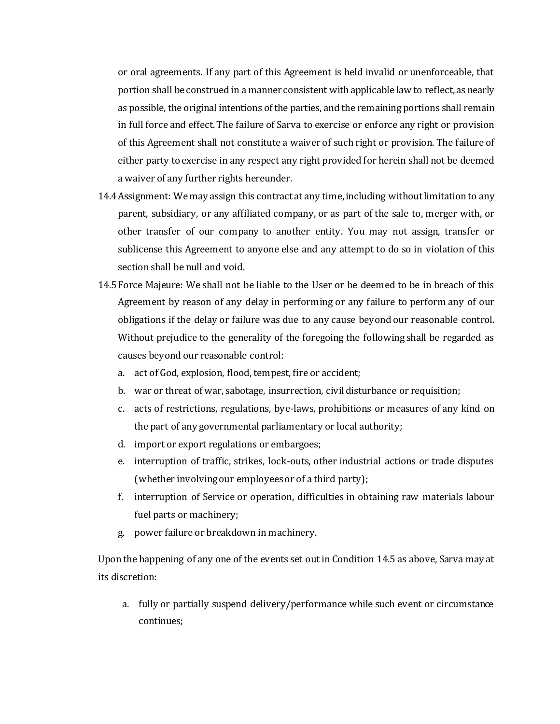or oral agreements. If any part of this Agreement is held invalid or unenforceable, that portion shall be construed in a manner consistent with applicable law to reflect, as nearly as possible, the original intentions of the parties, and the remaining portions shall remain in full force and effect. The failure of Sarva to exercise or enforce any right or provision of this Agreement shall not constitute a waiver of such right or provision. The failure of either party to exercise in any respect any right provided for herein shall not be deemed a waiver of any further rights hereunder.

- 14.4Assignment: We may assign this contract at any time, including without limitation to any parent, subsidiary, or any affiliated company, or as part of the sale to, merger with, or other transfer of our company to another entity. You may not assign, transfer or sublicense this Agreement to anyone else and any attempt to do so in violation of this section shall be null and void.
- 14.5Force Majeure: We shall not be liable to the User or be deemed to be in breach of this Agreement by reason of any delay in performing or any failure to perform any of our obligations if the delay or failure was due to any cause beyond our reasonable control. Without prejudice to the generality of the foregoing the following shall be regarded as causes beyond our reasonable control:
	- a. act of God, explosion, flood, tempest, fire or accident;
	- b. war or threat of war, sabotage, insurrection, civil disturbance or requisition;
	- c. acts of restrictions, regulations, bye-laws, prohibitions or measures of any kind on the part of any governmental parliamentary or local authority;
	- d. import or export regulations or embargoes;
	- e. interruption of traffic, strikes, lock-outs, other industrial actions or trade disputes (whether involving our employees or of a third party);
	- f. interruption of Service or operation, difficulties in obtaining raw materials labour fuel parts or machinery;
	- g. power failure or breakdown in machinery.

Upon the happening of any one of the events set out in Condition 14.5 as above, Sarva may at its discretion:

a. fully or partially suspend delivery/performance while such event or circumstance continues;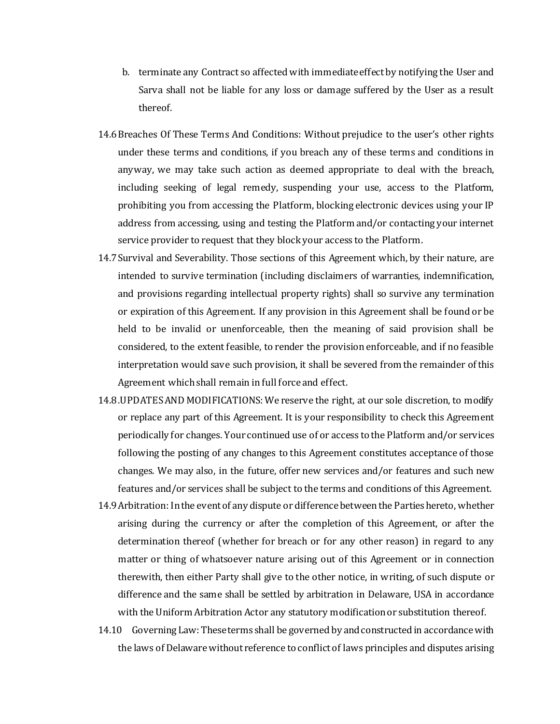- b. terminate any Contract so affected with immediate effect by notifying the User and Sarva shall not be liable for any loss or damage suffered by the User as a result thereof.
- 14.6Breaches Of These Terms And Conditions: Without prejudice to the user's other rights under these terms and conditions, if you breach any of these terms and conditions in anyway, we may take such action as deemed appropriate to deal with the breach, including seeking of legal remedy, suspending your use, access to the Platform, prohibiting you from accessing the Platform, blocking electronic devices using your IP address from accessing, using and testing the Platform and/or contacting your internet service provider to request that they block your access to the Platform.
- 14.7Survival and Severability. Those sections of this Agreement which, by their nature, are intended to survive termination (including disclaimers of warranties, indemnification, and provisions regarding intellectual property rights) shall so survive any termination or expiration of this Agreement. If any provision in this Agreement shall be found or be held to be invalid or unenforceable, then the meaning of said provision shall be considered, to the extent feasible, to render the provision enforceable, and if no feasible interpretation would save such provision, it shall be severed from the remainder of this Agreement which shall remain in full force and effect.
- 14.8.UPDATES AND MODIFICATIONS: We reserve the right, at our sole discretion, to modify or replace any part of this Agreement. It is your responsibility to check this Agreement periodically for changes. Your continued use of or access to the Platform and/or services following the posting of any changes to this Agreement constitutes acceptance of those changes. We may also, in the future, offer new services and/or features and such new features and/or services shall be subject to the terms and conditions of this Agreement.
- 14.9Arbitration: In the event of any dispute or difference between the Parties hereto, whether arising during the currency or after the completion of this Agreement, or after the determination thereof (whether for breach or for any other reason) in regard to any matter or thing of whatsoever nature arising out of this Agreement or in connection therewith, then either Party shall give to the other notice, in writing, of such dispute or difference and the same shall be settled by arbitration in Delaware, USA in accordance with the Uniform Arbitration Actor any statutory modification or substitution thereof.
- 14.10 Governing Law: These terms shall be governed by and constructed in accordance with the laws of Delaware without reference to conflict of laws principles and disputes arising